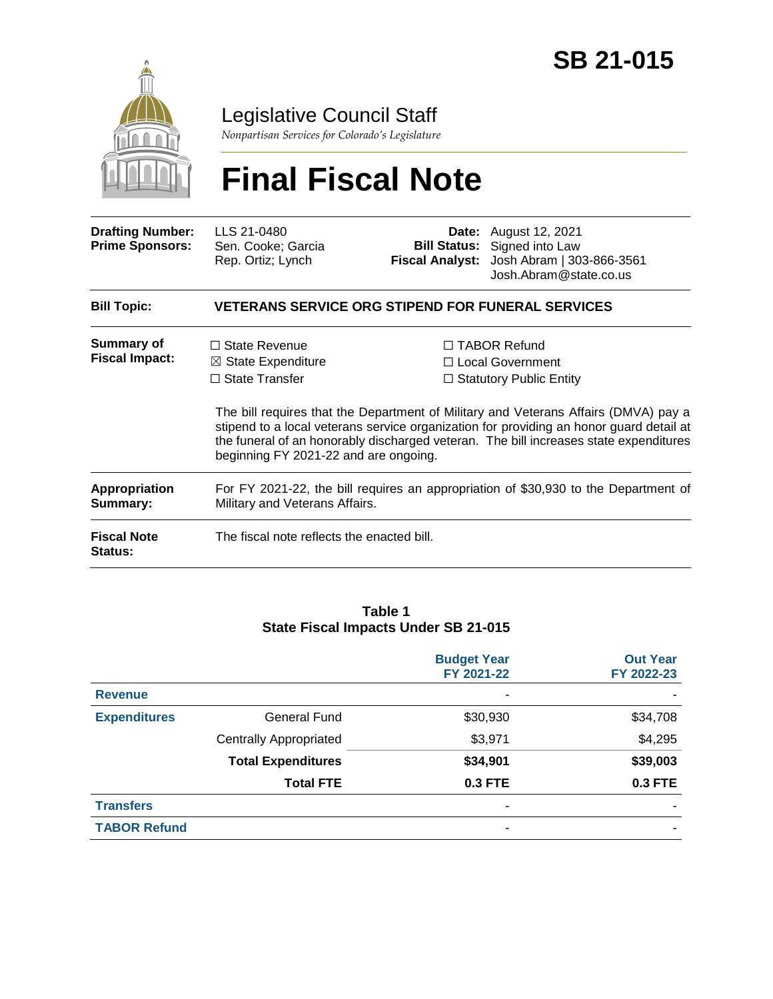

Legislative Council Staff

*Nonpartisan Services for Colorado's Legislature*

# **Final Fiscal Note**

| <b>Drafting Number:</b><br><b>Prime Sponsors:</b> | LLS 21-0480<br>Sen. Cooke; Garcia<br>Rep. Ortiz; Lynch                                                                                                                                                                                                                                                           |  | <b>Date:</b> August 12, 2021<br><b>Bill Status:</b> Signed into Law<br>Fiscal Analyst: Josh Abram   303-866-3561<br>Josh.Abram@state.co.us |  |  |
|---------------------------------------------------|------------------------------------------------------------------------------------------------------------------------------------------------------------------------------------------------------------------------------------------------------------------------------------------------------------------|--|--------------------------------------------------------------------------------------------------------------------------------------------|--|--|
| <b>Bill Topic:</b>                                | <b>VETERANS SERVICE ORG STIPEND FOR FUNERAL SERVICES</b>                                                                                                                                                                                                                                                         |  |                                                                                                                                            |  |  |
| Summary of<br><b>Fiscal Impact:</b>               | $\Box$ State Revenue<br>$\boxtimes$ State Expenditure<br>$\Box$ State Transfer                                                                                                                                                                                                                                   |  | $\Box$ TABOR Refund<br>□ Local Government<br>$\Box$ Statutory Public Entity                                                                |  |  |
|                                                   | The bill requires that the Department of Military and Veterans Affairs (DMVA) pay a<br>stipend to a local veterans service organization for providing an honor guard detail at<br>the funeral of an honorably discharged veteran. The bill increases state expenditures<br>beginning FY 2021-22 and are ongoing. |  |                                                                                                                                            |  |  |
| <b>Appropriation</b><br>Summary:                  | For FY 2021-22, the bill requires an appropriation of \$30,930 to the Department of<br>Military and Veterans Affairs.                                                                                                                                                                                            |  |                                                                                                                                            |  |  |
| <b>Fiscal Note</b><br><b>Status:</b>              | The fiscal note reflects the enacted bill.                                                                                                                                                                                                                                                                       |  |                                                                                                                                            |  |  |

#### **Table 1 State Fiscal Impacts Under SB 21-015**

|                     |                               | <b>Budget Year</b><br>FY 2021-22 | <b>Out Year</b><br>FY 2022-23 |
|---------------------|-------------------------------|----------------------------------|-------------------------------|
| <b>Revenue</b>      |                               | ۰                                |                               |
| <b>Expenditures</b> | <b>General Fund</b>           | \$30,930                         | \$34,708                      |
|                     | <b>Centrally Appropriated</b> | \$3,971                          | \$4,295                       |
|                     | <b>Total Expenditures</b>     | \$34,901                         | \$39,003                      |
|                     | <b>Total FTE</b>              | 0.3 FTE                          | 0.3 FTE                       |
| <b>Transfers</b>    |                               | ٠                                |                               |
| <b>TABOR Refund</b> |                               | -                                |                               |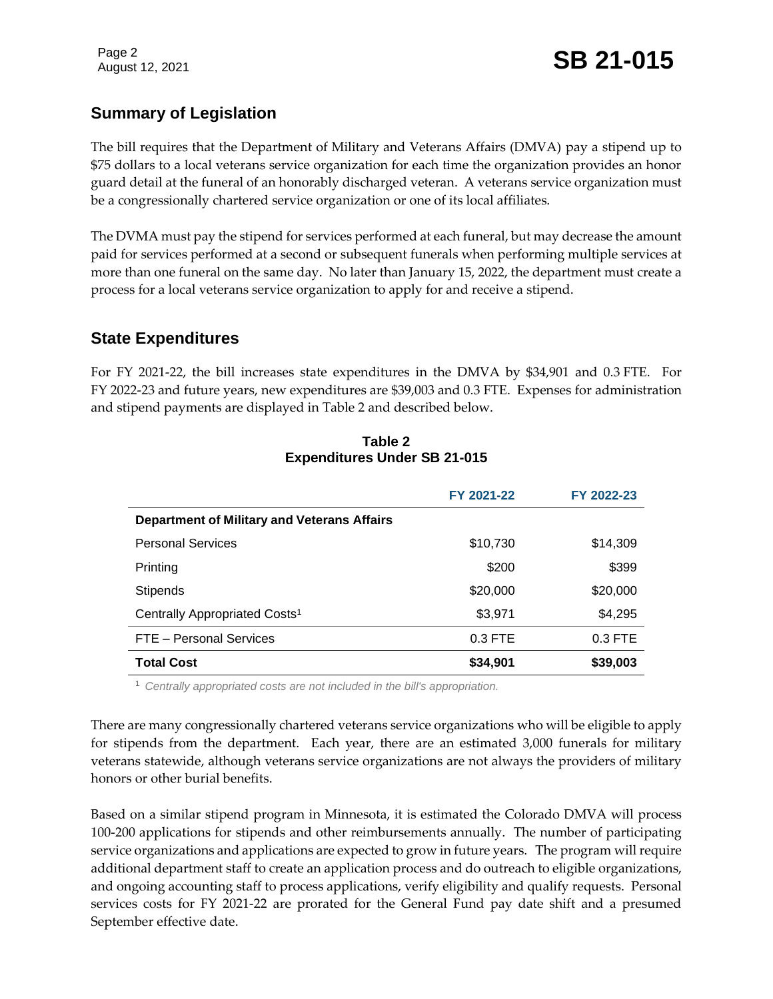## **Summary of Legislation**

The bill requires that the Department of Military and Veterans Affairs (DMVA) pay a stipend up to \$75 dollars to a local veterans service organization for each time the organization provides an honor guard detail at the funeral of an honorably discharged veteran. A veterans service organization must be a congressionally chartered service organization or one of its local affiliates.

The DVMA must pay the stipend for services performed at each funeral, but may decrease the amount paid for services performed at a second or subsequent funerals when performing multiple services at more than one funeral on the same day. No later than January 15, 2022, the department must create a process for a local veterans service organization to apply for and receive a stipend.

## **State Expenditures**

For FY 2021-22, the bill increases state expenditures in the DMVA by \$34,901 and 0.3 FTE. For FY 2022-23 and future years, new expenditures are \$39,003 and 0.3 FTE. Expenses for administration and stipend payments are displayed in Table 2 and described below.

|                                                    | FY 2021-22 | FY 2022-23 |  |  |  |
|----------------------------------------------------|------------|------------|--|--|--|
| <b>Department of Military and Veterans Affairs</b> |            |            |  |  |  |
| <b>Personal Services</b>                           | \$10,730   | \$14,309   |  |  |  |
| Printing                                           | \$200      | \$399      |  |  |  |
| <b>Stipends</b>                                    | \$20,000   | \$20,000   |  |  |  |
| Centrally Appropriated Costs <sup>1</sup>          | \$3,971    | \$4,295    |  |  |  |
| FTE - Personal Services                            | $0.3$ FTE  | $0.3$ FTE  |  |  |  |
| <b>Total Cost</b>                                  | \$34,901   | \$39,003   |  |  |  |

#### **Table 2 Expenditures Under SB 21-015**

<sup>1</sup> *Centrally appropriated costs are not included in the bill's appropriation.*

There are many congressionally chartered veterans service organizations who will be eligible to apply for stipends from the department. Each year, there are an estimated 3,000 funerals for military veterans statewide, although veterans service organizations are not always the providers of military honors or other burial benefits.

Based on a similar stipend program in Minnesota, it is estimated the Colorado DMVA will process 100-200 applications for stipends and other reimbursements annually. The number of participating service organizations and applications are expected to grow in future years. The program will require additional department staff to create an application process and do outreach to eligible organizations, and ongoing accounting staff to process applications, verify eligibility and qualify requests. Personal services costs for FY 2021-22 are prorated for the General Fund pay date shift and a presumed September effective date.